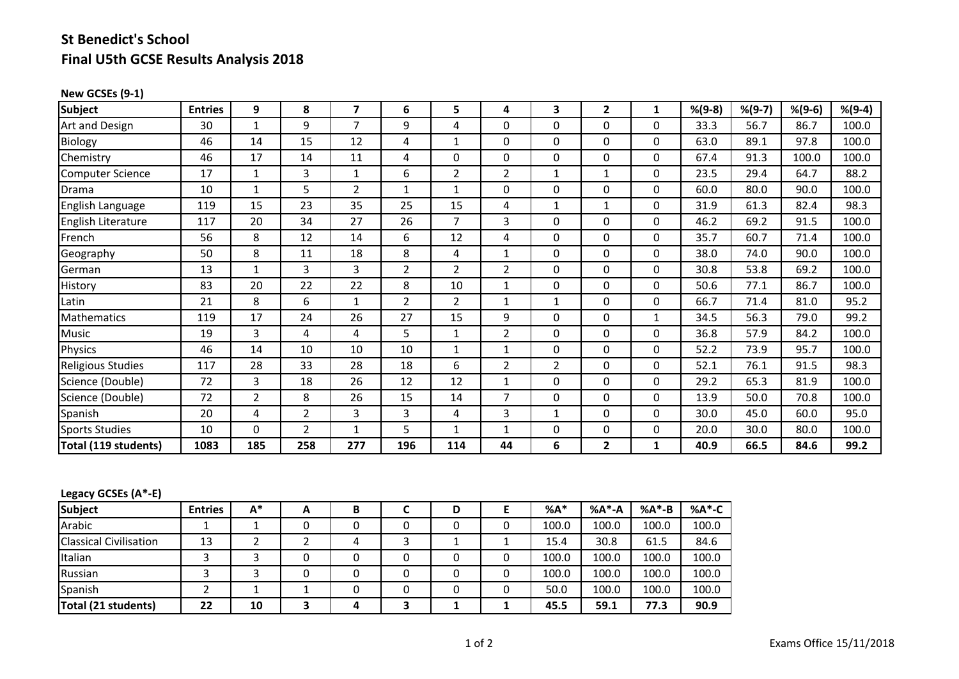# **St Benedict's School Final U5th GCSE Results Analysis 2018**

#### **New GCSEs (9‐1)**

| <b>Subject</b>        | <b>Entries</b> | 9        | 8              | 7            | 6              | 5              | 4              | 3              | $\overline{2}$ | 1            | $% (9-8)$ | $% (9-7)$ | $% (9-6)$ | $% (9-4)$ |
|-----------------------|----------------|----------|----------------|--------------|----------------|----------------|----------------|----------------|----------------|--------------|-----------|-----------|-----------|-----------|
| Art and Design        | 30             |          | 9              | 7            | 9              | 4              | 0              | $\Omega$       | $\Omega$       | 0            | 33.3      | 56.7      | 86.7      | 100.0     |
| Biology               | 46             | 14       | 15             | 12           | 4              | $\mathbf{1}$   | 0              | $\Omega$       | $\Omega$       | 0            | 63.0      | 89.1      | 97.8      | 100.0     |
| Chemistry             | 46             | 17       | 14             | 11           | 4              | 0              | 0              | 0              | 0              | 0            | 67.4      | 91.3      | 100.0     | 100.0     |
| Computer Science      | 17             | 1        | 3              | $\mathbf{1}$ | 6              | $\overline{2}$ | $\overline{2}$ | 1              | 1              | 0            | 23.5      | 29.4      | 64.7      | 88.2      |
| Drama                 | 10             | 1        | 5              | 2            | $\mathbf{1}$   | 1              | 0              | 0              | 0              | 0            | 60.0      | 80.0      | 90.0      | 100.0     |
| English Language      | 119            | 15       | 23             | 35           | 25             | 15             | 4              | $\mathbf{1}$   | 1              | 0            | 31.9      | 61.3      | 82.4      | 98.3      |
| English Literature    | 117            | 20       | 34             | 27           | 26             | $\overline{7}$ | 3              | $\Omega$       | $\Omega$       | 0            | 46.2      | 69.2      | 91.5      | 100.0     |
| French                | 56             | 8        | 12             | 14           | 6              | 12             | 4              | 0              | $\Omega$       | 0            | 35.7      | 60.7      | 71.4      | 100.0     |
| Geography             | 50             | 8        | 11             | 18           | 8              | 4              | $\mathbf{1}$   | $\Omega$       | $\Omega$       | 0            | 38.0      | 74.0      | 90.0      | 100.0     |
| German                | 13             | 1        | 3              | 3            | $\overline{2}$ | 2              | $\overline{2}$ | 0              | 0              | 0            | 30.8      | 53.8      | 69.2      | 100.0     |
| History               | 83             | 20       | 22             | 22           | 8              | 10             | 1              | $\Omega$       | $\Omega$       | 0            | 50.6      | 77.1      | 86.7      | 100.0     |
| Latin                 | 21             | 8        | 6              | 1            | 2              | $\overline{2}$ | 1              | 1              | $\Omega$       | 0            | 66.7      | 71.4      | 81.0      | 95.2      |
| Mathematics           | 119            | 17       | 24             | 26           | 27             | 15             | 9              | 0              | $\Omega$       | $\mathbf{1}$ | 34.5      | 56.3      | 79.0      | 99.2      |
| Music                 | 19             | 3        | 4              | 4            | 5              | 1              | $\overline{2}$ | 0              | $\Omega$       | 0            | 36.8      | 57.9      | 84.2      | 100.0     |
| Physics               | 46             | 14       | 10             | 10           | 10             | 1              | $\mathbf{1}$   | 0              | 0              | 0            | 52.2      | 73.9      | 95.7      | 100.0     |
| Religious Studies     | 117            | 28       | 33             | 28           | 18             | 6              | $\overline{2}$ | $\overline{2}$ | $\Omega$       | $\Omega$     | 52.1      | 76.1      | 91.5      | 98.3      |
| Science (Double)      | 72             | 3        | 18             | 26           | 12             | 12             | $\mathbf{1}$   | $\Omega$       | $\Omega$       | 0            | 29.2      | 65.3      | 81.9      | 100.0     |
| Science (Double)      | 72             | 2        | 8              | 26           | 15             | 14             | $\overline{7}$ | 0              | $\Omega$       | 0            | 13.9      | 50.0      | 70.8      | 100.0     |
| Spanish               | 20             | 4        | $\overline{2}$ | 3            | 3              | 4              | 3              | 1              | $\Omega$       | 0            | 30.0      | 45.0      | 60.0      | 95.0      |
| <b>Sports Studies</b> | 10             | $\Omega$ | $\overline{2}$ | 1            | 5              | 1              | $\mathbf{1}$   | 0              | $\mathbf{0}$   | 0            | 20.0      | 30.0      | 80.0      | 100.0     |
| Total (119 students)  | 1083           | 185      | 258            | 277          | 196            | 114            | 44             | 6              | $\mathbf{2}$   | 1            | 40.9      | 66.5      | 84.6      | 99.2      |

### **Legacy GCSEs (A\*‐E)**

| <b>Subject</b>                | <b>Entries</b> | А* | A | В | D | $%A*$ | %A*-A | %A*-B | %A*-C |
|-------------------------------|----------------|----|---|---|---|-------|-------|-------|-------|
| Arabic                        |                |    |   | 0 |   | 100.0 | 100.0 | 100.0 | 100.0 |
| <b>Classical Civilisation</b> | 13             |    |   |   |   | 15.4  | 30.8  | 61.5  | 84.6  |
| Italian                       |                |    |   |   |   | 100.0 | 100.0 | 100.0 | 100.0 |
| Russian                       |                |    |   |   |   | 100.0 | 100.0 | 100.0 | 100.0 |
| Spanish                       |                |    |   | 0 |   | 50.0  | 100.0 | 100.0 | 100.0 |
| Total (21 students)           | 22             | 10 |   |   |   | 45.5  | 59.1  | 77.3  | 90.9  |